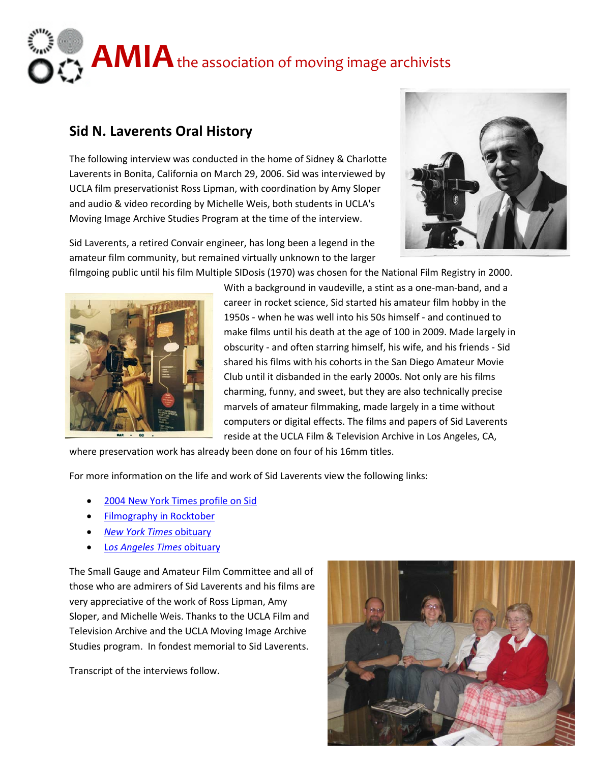## **AMIA** the association of moving image archivists

## **Sid N. Laverents Oral History**

The following interview was conducted in the home of Sidney & Charlotte Laverents in Bonita, California on March 29, 2006. Sid was interviewed by UCLA film preservationist Ross Lipman, with coordination by Amy Sloper and audio & video recording by Michelle Weis, both students in UCLA's Moving Image Archive Studies Program at the time of the interview.





filmgoing public until his film Multiple SIDosis (1970) was chosen for the National Film Registry in 2000.



With a background in vaudeville, a stint as a one-man-band, and a career in rocket science, Sid started his amateur film hobby in the 1950s - when he was well into his 50s himself - and continued to make films until his death at the age of 100 in 2009. Made largely in obscurity - and often starring himself, his wife, and his friends - Sid shared his films with his cohorts in the San Diego Amateur Movie Club until it disbanded in the early 2000s. Not only are his films charming, funny, and sweet, but they are also technically precise marvels of amateur filmmaking, made largely in a time without computers or digital effects. The films and papers of Sid Laverents reside at the UCLA Film & Television Archive in Los Angeles, CA,

where preservation work has already been done on four of his 16mm titles.

For more information on the life and work of Sid Laverents view the following links:

- [2004 New York Times profile on Sid](http://www.nytimes.com/2004/01/25/movies/film-a-one-man-band-who-created-an-oeuvre.html)
- **[Filmography in Rocktober](http://www.roctober.com/roctober/greatness/sidography.html)**
- *[New York Times](http://www.nytimes.com/2009/05/17/arts/17laverents.html?adxnnl=1&adxnnlx=1353707582-qSUBBvDsA/pVkjYABqmEGA&_r=0)* obituary
- L*[os Angeles Times](http://www.latimes.com/news/obituaries/la-me-sid-laverents13-2009may13,0,6355985.story)* obituary

The Small Gauge and Amateur Film Committee and all of those who are admirers of Sid Laverents and his films are very appreciative of the work of Ross Lipman, Amy Sloper, and Michelle Weis. Thanks to the UCLA Film and Television Archive and the UCLA Moving Image Archive Studies program. In fondest memorial to Sid Laverents.

Transcript of the interviews follow.

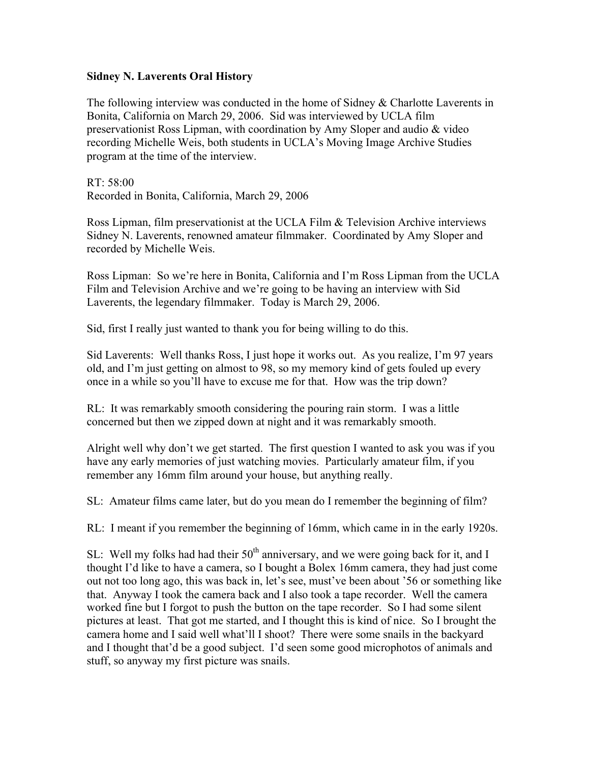## **Sidney N. Laverents Oral History**

The following interview was conducted in the home of Sidney & Charlotte Laverents in Bonita, California on March 29, 2006. Sid was interviewed by UCLA film preservationist Ross Lipman, with coordination by Amy Sloper and audio & video recording Michelle Weis, both students in UCLA's Moving Image Archive Studies program at the time of the interview.

RT: 58:00 Recorded in Bonita, California, March 29, 2006

Ross Lipman, film preservationist at the UCLA Film & Television Archive interviews Sidney N. Laverents, renowned amateur filmmaker. Coordinated by Amy Sloper and recorded by Michelle Weis.

Ross Lipman: So we're here in Bonita, California and I'm Ross Lipman from the UCLA Film and Television Archive and we're going to be having an interview with Sid Laverents, the legendary filmmaker. Today is March 29, 2006.

Sid, first I really just wanted to thank you for being willing to do this.

Sid Laverents: Well thanks Ross, I just hope it works out. As you realize, I'm 97 years old, and I'm just getting on almost to 98, so my memory kind of gets fouled up every once in a while so you'll have to excuse me for that. How was the trip down?

RL: It was remarkably smooth considering the pouring rain storm. I was a little concerned but then we zipped down at night and it was remarkably smooth.

Alright well why don't we get started. The first question I wanted to ask you was if you have any early memories of just watching movies. Particularly amateur film, if you remember any 16mm film around your house, but anything really.

SL: Amateur films came later, but do you mean do I remember the beginning of film?

RL: I meant if you remember the beginning of 16mm, which came in in the early 1920s.

SL: Well my folks had had their  $50<sup>th</sup>$  anniversary, and we were going back for it, and I thought I'd like to have a camera, so I bought a Bolex 16mm camera, they had just come out not too long ago, this was back in, let's see, must've been about '56 or something like that. Anyway I took the camera back and I also took a tape recorder. Well the camera worked fine but I forgot to push the button on the tape recorder. So I had some silent pictures at least. That got me started, and I thought this is kind of nice. So I brought the camera home and I said well what'll I shoot? There were some snails in the backyard and I thought that'd be a good subject. I'd seen some good microphotos of animals and stuff, so anyway my first picture was snails.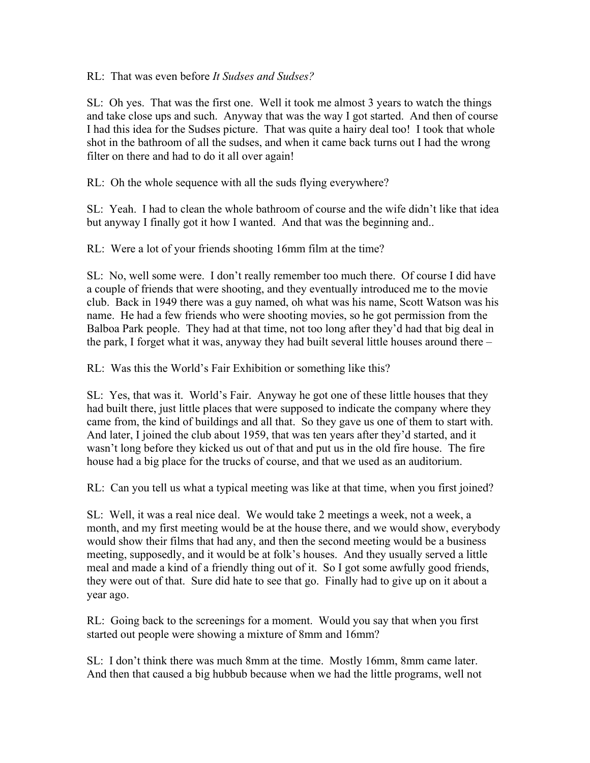RL: That was even before *It Sudses and Sudses?*

SL: Oh yes. That was the first one. Well it took me almost 3 years to watch the things and take close ups and such. Anyway that was the way I got started. And then of course I had this idea for the Sudses picture. That was quite a hairy deal too! I took that whole shot in the bathroom of all the sudses, and when it came back turns out I had the wrong filter on there and had to do it all over again!

RL: Oh the whole sequence with all the suds flying everywhere?

SL: Yeah. I had to clean the whole bathroom of course and the wife didn't like that idea but anyway I finally got it how I wanted. And that was the beginning and..

RL: Were a lot of your friends shooting 16mm film at the time?

SL: No, well some were. I don't really remember too much there. Of course I did have a couple of friends that were shooting, and they eventually introduced me to the movie club. Back in 1949 there was a guy named, oh what was his name, Scott Watson was his name. He had a few friends who were shooting movies, so he got permission from the Balboa Park people. They had at that time, not too long after they'd had that big deal in the park, I forget what it was, anyway they had built several little houses around there –

RL: Was this the World's Fair Exhibition or something like this?

SL: Yes, that was it. World's Fair. Anyway he got one of these little houses that they had built there, just little places that were supposed to indicate the company where they came from, the kind of buildings and all that. So they gave us one of them to start with. And later, I joined the club about 1959, that was ten years after they'd started, and it wasn't long before they kicked us out of that and put us in the old fire house. The fire house had a big place for the trucks of course, and that we used as an auditorium.

RL: Can you tell us what a typical meeting was like at that time, when you first joined?

SL: Well, it was a real nice deal. We would take 2 meetings a week, not a week, a month, and my first meeting would be at the house there, and we would show, everybody would show their films that had any, and then the second meeting would be a business meeting, supposedly, and it would be at folk's houses. And they usually served a little meal and made a kind of a friendly thing out of it. So I got some awfully good friends, they were out of that. Sure did hate to see that go. Finally had to give up on it about a year ago.

RL: Going back to the screenings for a moment. Would you say that when you first started out people were showing a mixture of 8mm and 16mm?

SL: I don't think there was much 8mm at the time. Mostly 16mm, 8mm came later. And then that caused a big hubbub because when we had the little programs, well not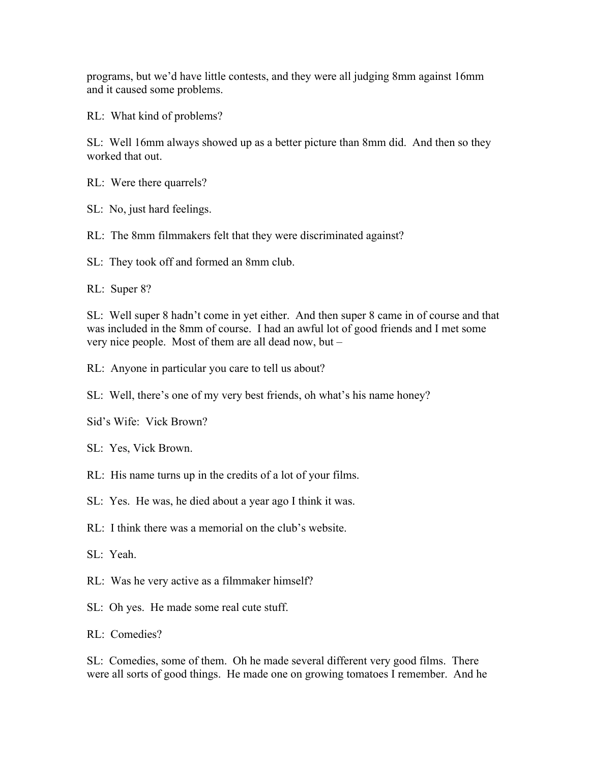programs, but we'd have little contests, and they were all judging 8mm against 16mm and it caused some problems.

RL: What kind of problems?

SL: Well 16mm always showed up as a better picture than 8mm did. And then so they worked that out.

RL: Were there quarrels?

SL: No, just hard feelings.

RL: The 8mm filmmakers felt that they were discriminated against?

SL: They took off and formed an 8mm club.

RL: Super 8?

SL: Well super 8 hadn't come in yet either. And then super 8 came in of course and that was included in the 8mm of course. I had an awful lot of good friends and I met some very nice people. Most of them are all dead now, but –

RL: Anyone in particular you care to tell us about?

SL: Well, there's one of my very best friends, oh what's his name honey?

Sid's Wife: Vick Brown?

SL: Yes, Vick Brown.

RL: His name turns up in the credits of a lot of your films.

SL: Yes. He was, he died about a year ago I think it was.

RL: I think there was a memorial on the club's website.

SL: Yeah.

RL: Was he very active as a filmmaker himself?

SL: Oh yes. He made some real cute stuff.

RL: Comedies?

SL: Comedies, some of them. Oh he made several different very good films. There were all sorts of good things. He made one on growing tomatoes I remember. And he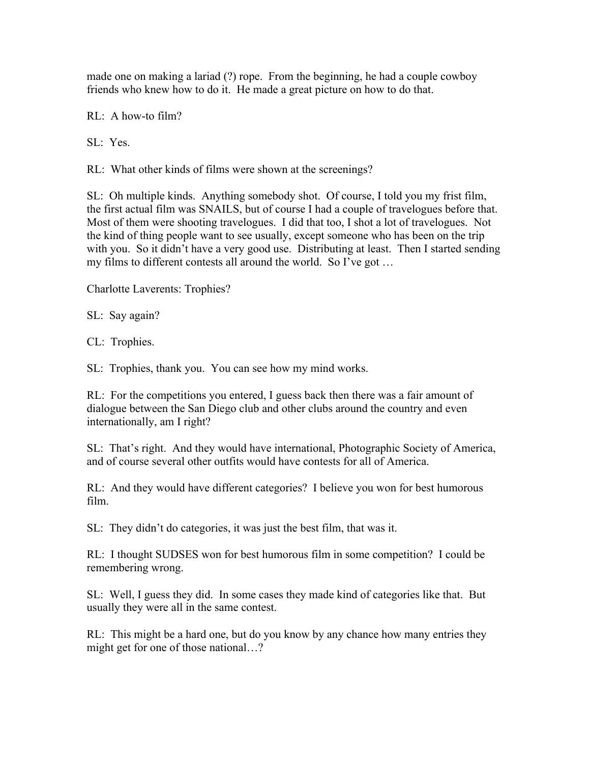made one on making a lariad (?) rope. From the beginning, he had a couple cowboy friends who knew how to do it. He made a great picture on how to do that.

RL: A how-to film?

SL: Yes.

RL: What other kinds of films were shown at the screenings?

SL: Oh multiple kinds. Anything somebody shot. Of course, I told you my frist film, the first actual film was SNAILS, but of course I had a couple of travelogues before that. Most of them were shooting travelogues. I did that too, I shot a lot of travelogues. Not the kind of thing people want to see usually, except someone who has been on the trip with you. So it didn't have a very good use. Distributing at least. Then I started sending my films to different contests all around the world. So I've got …

Charlotte Laverents: Trophies?

SL: Say again?

CL: Trophies.

SL: Trophies, thank you. You can see how my mind works.

RL: For the competitions you entered, I guess back then there was a fair amount of dialogue between the San Diego club and other clubs around the country and even internationally, am I right?

SL: That's right. And they would have international, Photographic Society of America, and of course several other outfits would have contests for all of America.

RL: And they would have different categories? I believe you won for best humorous film.

SL: They didn't do categories, it was just the best film, that was it.

RL: I thought SUDSES won for best humorous film in some competition? I could be remembering wrong.

SL: Well, I guess they did. In some cases they made kind of categories like that. But usually they were all in the same contest.

RL: This might be a hard one, but do you know by any chance how many entries they might get for one of those national…?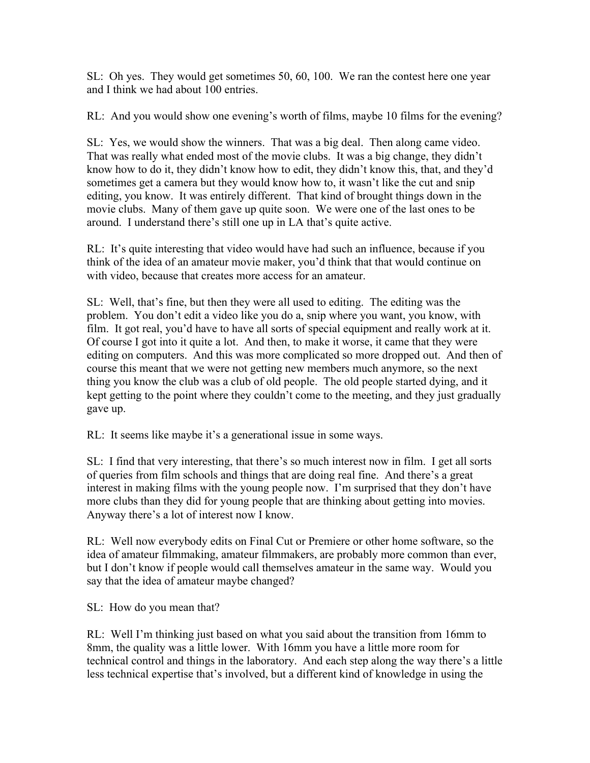SL: Oh yes. They would get sometimes 50, 60, 100. We ran the contest here one year and I think we had about 100 entries.

RL: And you would show one evening's worth of films, maybe 10 films for the evening?

SL: Yes, we would show the winners. That was a big deal. Then along came video. That was really what ended most of the movie clubs. It was a big change, they didn't know how to do it, they didn't know how to edit, they didn't know this, that, and they'd sometimes get a camera but they would know how to, it wasn't like the cut and snip editing, you know. It was entirely different. That kind of brought things down in the movie clubs. Many of them gave up quite soon. We were one of the last ones to be around. I understand there's still one up in LA that's quite active.

RL: It's quite interesting that video would have had such an influence, because if you think of the idea of an amateur movie maker, you'd think that that would continue on with video, because that creates more access for an amateur.

SL: Well, that's fine, but then they were all used to editing. The editing was the problem. You don't edit a video like you do a, snip where you want, you know, with film. It got real, you'd have to have all sorts of special equipment and really work at it. Of course I got into it quite a lot. And then, to make it worse, it came that they were editing on computers. And this was more complicated so more dropped out. And then of course this meant that we were not getting new members much anymore, so the next thing you know the club was a club of old people. The old people started dying, and it kept getting to the point where they couldn't come to the meeting, and they just gradually gave up.

RL: It seems like maybe it's a generational issue in some ways.

SL: I find that very interesting, that there's so much interest now in film. I get all sorts of queries from film schools and things that are doing real fine. And there's a great interest in making films with the young people now. I'm surprised that they don't have more clubs than they did for young people that are thinking about getting into movies. Anyway there's a lot of interest now I know.

RL: Well now everybody edits on Final Cut or Premiere or other home software, so the idea of amateur filmmaking, amateur filmmakers, are probably more common than ever, but I don't know if people would call themselves amateur in the same way. Would you say that the idea of amateur maybe changed?

SL: How do you mean that?

RL: Well I'm thinking just based on what you said about the transition from 16mm to 8mm, the quality was a little lower. With 16mm you have a little more room for technical control and things in the laboratory. And each step along the way there's a little less technical expertise that's involved, but a different kind of knowledge in using the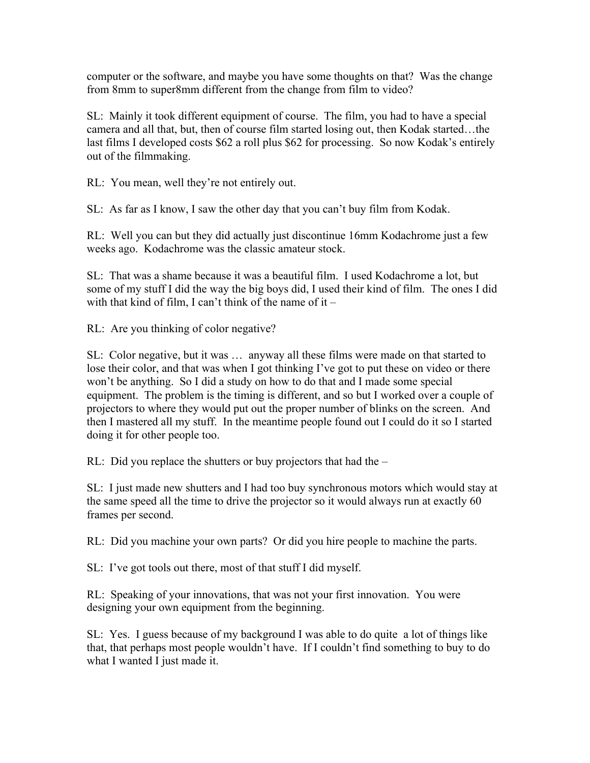computer or the software, and maybe you have some thoughts on that? Was the change from 8mm to super8mm different from the change from film to video?

SL: Mainly it took different equipment of course. The film, you had to have a special camera and all that, but, then of course film started losing out, then Kodak started…the last films I developed costs \$62 a roll plus \$62 for processing. So now Kodak's entirely out of the filmmaking.

RL: You mean, well they're not entirely out.

SL: As far as I know, I saw the other day that you can't buy film from Kodak.

RL: Well you can but they did actually just discontinue 16mm Kodachrome just a few weeks ago. Kodachrome was the classic amateur stock.

SL: That was a shame because it was a beautiful film. I used Kodachrome a lot, but some of my stuff I did the way the big boys did, I used their kind of film. The ones I did with that kind of film, I can't think of the name of it  $-$ 

RL: Are you thinking of color negative?

SL: Color negative, but it was … anyway all these films were made on that started to lose their color, and that was when I got thinking I've got to put these on video or there won't be anything. So I did a study on how to do that and I made some special equipment. The problem is the timing is different, and so but I worked over a couple of projectors to where they would put out the proper number of blinks on the screen. And then I mastered all my stuff. In the meantime people found out I could do it so I started doing it for other people too.

RL: Did you replace the shutters or buy projectors that had the –

SL: I just made new shutters and I had too buy synchronous motors which would stay at the same speed all the time to drive the projector so it would always run at exactly 60 frames per second.

RL: Did you machine your own parts? Or did you hire people to machine the parts.

SL: I've got tools out there, most of that stuff I did myself.

RL: Speaking of your innovations, that was not your first innovation. You were designing your own equipment from the beginning.

SL: Yes. I guess because of my background I was able to do quite a lot of things like that, that perhaps most people wouldn't have. If I couldn't find something to buy to do what I wanted I just made it.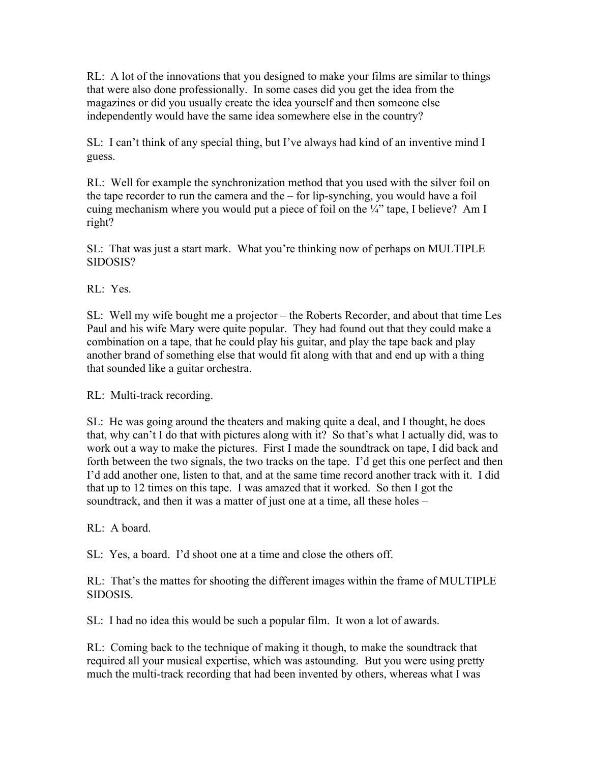RL: A lot of the innovations that you designed to make your films are similar to things that were also done professionally. In some cases did you get the idea from the magazines or did you usually create the idea yourself and then someone else independently would have the same idea somewhere else in the country?

SL: I can't think of any special thing, but I've always had kind of an inventive mind I guess.

RL: Well for example the synchronization method that you used with the silver foil on the tape recorder to run the camera and the – for lip-synching, you would have a foil cuing mechanism where you would put a piece of foil on the ¼" tape, I believe? Am I right?

SL: That was just a start mark. What you're thinking now of perhaps on MULTIPLE SIDOSIS?

RL: Yes.

SL: Well my wife bought me a projector – the Roberts Recorder, and about that time Les Paul and his wife Mary were quite popular. They had found out that they could make a combination on a tape, that he could play his guitar, and play the tape back and play another brand of something else that would fit along with that and end up with a thing that sounded like a guitar orchestra.

RL: Multi-track recording.

SL: He was going around the theaters and making quite a deal, and I thought, he does that, why can't I do that with pictures along with it? So that's what I actually did, was to work out a way to make the pictures. First I made the soundtrack on tape, I did back and forth between the two signals, the two tracks on the tape. I'd get this one perfect and then I'd add another one, listen to that, and at the same time record another track with it. I did that up to 12 times on this tape. I was amazed that it worked. So then I got the soundtrack, and then it was a matter of just one at a time, all these holes –

RL: A board.

SL: Yes, a board. I'd shoot one at a time and close the others off.

RL: That's the mattes for shooting the different images within the frame of MULTIPLE SIDOSIS.

SL: I had no idea this would be such a popular film. It won a lot of awards.

RL: Coming back to the technique of making it though, to make the soundtrack that required all your musical expertise, which was astounding. But you were using pretty much the multi-track recording that had been invented by others, whereas what I was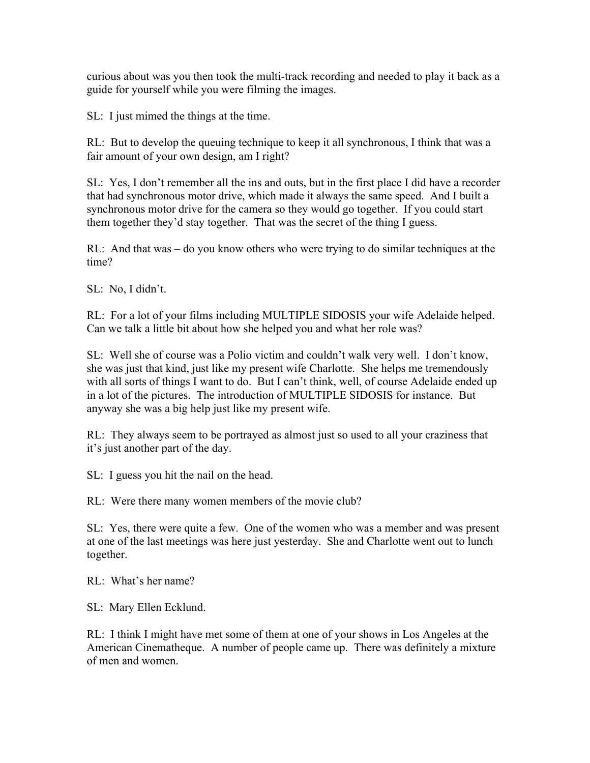curious about was you then took the multi-track recording and needed to play it back as a guide for yourself while you were filming the images.

SL: I just mimed the things at the time.

RL: But to develop the queuing technique to keep it all synchronous, I think that was a fair amount of your own design, am I right?

SL: Yes, I don't remember all the ins and outs, but in the first place I did have a recorder that had synchronous motor drive, which made it always the same speed. And I built a synchronous motor drive for the camera so they would go together. If you could start them together they'd stay together. That was the secret of the thing I guess.

RL: And that was – do you know others who were trying to do similar techniques at the time?

SL: No, I didn't.

RL: For a lot of your films including MULTIPLE SIDOSIS your wife Adelaide helped. Can we talk a little bit about how she helped you and what her role was?

SL: Well she of course was a Polio victim and couldn't walk very well. I don't know, she was just that kind, just like my present wife Charlotte. She helps me tremendously with all sorts of things I want to do. But I can't think, well, of course Adelaide ended up in a lot of the pictures. The introduction of MULTIPLE SIDOSIS for instance. But anyway she was a big help just like my present wife.

RL: They always seem to be portrayed as almost just so used to all your craziness that it's just another part of the day.

SL: I guess you hit the nail on the head.

RL: Were there many women members of the movie club?

SL: Yes, there were quite a few. One of the women who was a member and was present at one of the last meetings was here just yesterday. She and Charlotte went out to lunch together.

RL: What's her name?

SL: Mary Ellen Ecklund.

RL: I think I might have met some of them at one of your shows in Los Angeles at the American Cinematheque. A number of people came up. There was definitely a mixture of men and women.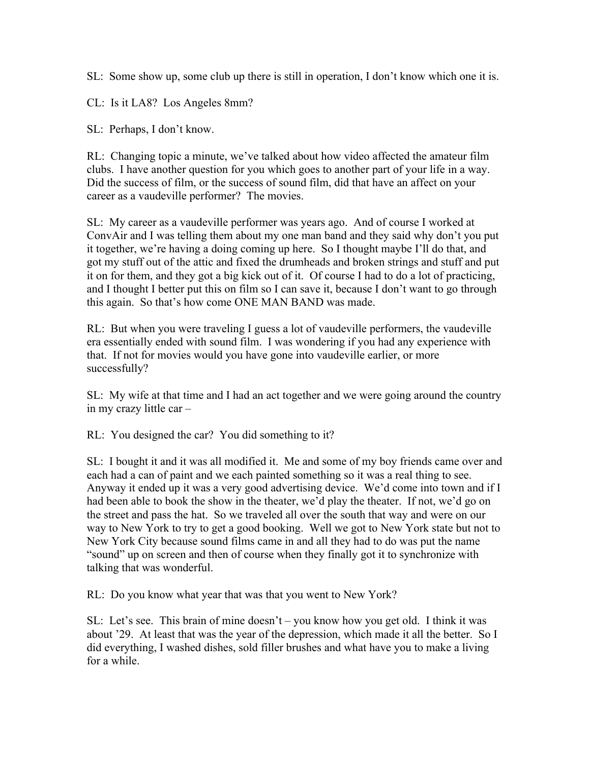SL: Some show up, some club up there is still in operation, I don't know which one it is.

CL: Is it LA8? Los Angeles 8mm?

SL: Perhaps, I don't know.

RL: Changing topic a minute, we've talked about how video affected the amateur film clubs. I have another question for you which goes to another part of your life in a way. Did the success of film, or the success of sound film, did that have an affect on your career as a vaudeville performer? The movies.

SL: My career as a vaudeville performer was years ago. And of course I worked at ConvAir and I was telling them about my one man band and they said why don't you put it together, we're having a doing coming up here. So I thought maybe I'll do that, and got my stuff out of the attic and fixed the drumheads and broken strings and stuff and put it on for them, and they got a big kick out of it. Of course I had to do a lot of practicing, and I thought I better put this on film so I can save it, because I don't want to go through this again. So that's how come ONE MAN BAND was made.

RL: But when you were traveling I guess a lot of vaudeville performers, the vaudeville era essentially ended with sound film. I was wondering if you had any experience with that. If not for movies would you have gone into vaudeville earlier, or more successfully?

SL: My wife at that time and I had an act together and we were going around the country in my crazy little car –

RL: You designed the car? You did something to it?

SL: I bought it and it was all modified it. Me and some of my boy friends came over and each had a can of paint and we each painted something so it was a real thing to see. Anyway it ended up it was a very good advertising device. We'd come into town and if I had been able to book the show in the theater, we'd play the theater. If not, we'd go on the street and pass the hat. So we traveled all over the south that way and were on our way to New York to try to get a good booking. Well we got to New York state but not to New York City because sound films came in and all they had to do was put the name "sound" up on screen and then of course when they finally got it to synchronize with talking that was wonderful.

RL: Do you know what year that was that you went to New York?

SL: Let's see. This brain of mine doesn't – you know how you get old. I think it was about '29. At least that was the year of the depression, which made it all the better. So I did everything, I washed dishes, sold filler brushes and what have you to make a living for a while.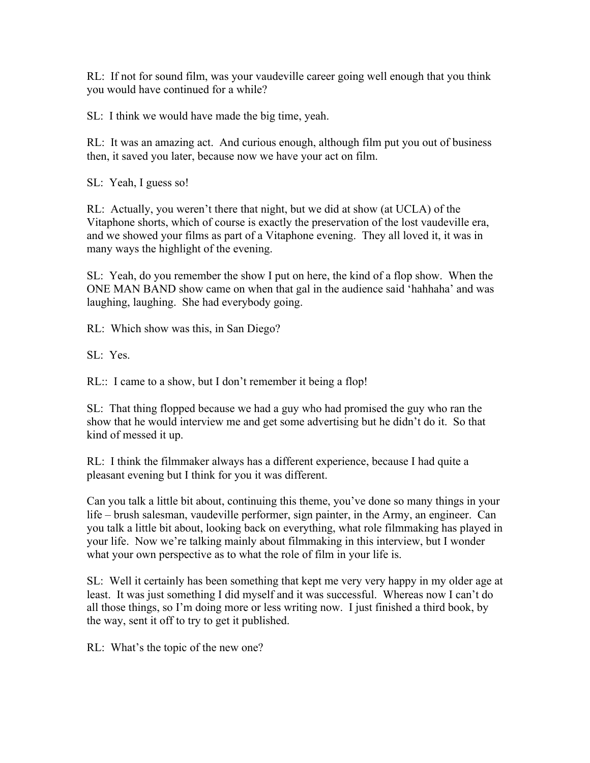RL: If not for sound film, was your vaudeville career going well enough that you think you would have continued for a while?

SL: I think we would have made the big time, yeah.

RL: It was an amazing act. And curious enough, although film put you out of business then, it saved you later, because now we have your act on film.

SL: Yeah, I guess so!

RL: Actually, you weren't there that night, but we did at show (at UCLA) of the Vitaphone shorts, which of course is exactly the preservation of the lost vaudeville era, and we showed your films as part of a Vitaphone evening. They all loved it, it was in many ways the highlight of the evening.

SL: Yeah, do you remember the show I put on here, the kind of a flop show. When the ONE MAN BAND show came on when that gal in the audience said 'hahhaha' and was laughing, laughing. She had everybody going.

RL: Which show was this, in San Diego?

SL: Yes.

RL:: I came to a show, but I don't remember it being a flop!

SL: That thing flopped because we had a guy who had promised the guy who ran the show that he would interview me and get some advertising but he didn't do it. So that kind of messed it up.

RL: I think the filmmaker always has a different experience, because I had quite a pleasant evening but I think for you it was different.

Can you talk a little bit about, continuing this theme, you've done so many things in your life – brush salesman, vaudeville performer, sign painter, in the Army, an engineer. Can you talk a little bit about, looking back on everything, what role filmmaking has played in your life. Now we're talking mainly about filmmaking in this interview, but I wonder what your own perspective as to what the role of film in your life is.

SL: Well it certainly has been something that kept me very very happy in my older age at least. It was just something I did myself and it was successful. Whereas now I can't do all those things, so I'm doing more or less writing now. I just finished a third book, by the way, sent it off to try to get it published.

RL: What's the topic of the new one?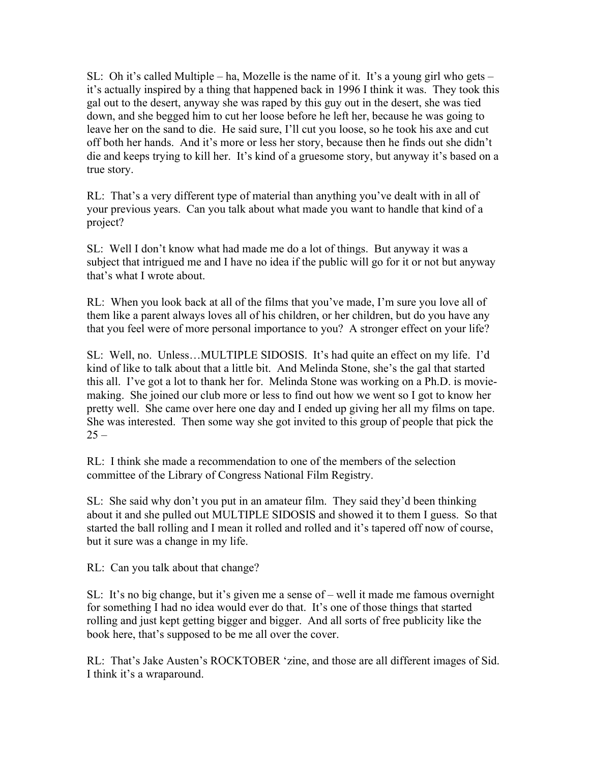SL: Oh it's called Multiple – ha, Mozelle is the name of it. It's a young girl who gets – it's actually inspired by a thing that happened back in 1996 I think it was. They took this gal out to the desert, anyway she was raped by this guy out in the desert, she was tied down, and she begged him to cut her loose before he left her, because he was going to leave her on the sand to die. He said sure, I'll cut you loose, so he took his axe and cut off both her hands. And it's more or less her story, because then he finds out she didn't die and keeps trying to kill her. It's kind of a gruesome story, but anyway it's based on a true story.

RL: That's a very different type of material than anything you've dealt with in all of your previous years. Can you talk about what made you want to handle that kind of a project?

SL: Well I don't know what had made me do a lot of things. But anyway it was a subject that intrigued me and I have no idea if the public will go for it or not but anyway that's what I wrote about.

RL: When you look back at all of the films that you've made, I'm sure you love all of them like a parent always loves all of his children, or her children, but do you have any that you feel were of more personal importance to you? A stronger effect on your life?

SL: Well, no. Unless…MULTIPLE SIDOSIS. It's had quite an effect on my life. I'd kind of like to talk about that a little bit. And Melinda Stone, she's the gal that started this all. I've got a lot to thank her for. Melinda Stone was working on a Ph.D. is moviemaking. She joined our club more or less to find out how we went so I got to know her pretty well. She came over here one day and I ended up giving her all my films on tape. She was interested. Then some way she got invited to this group of people that pick the  $25 -$ 

RL: I think she made a recommendation to one of the members of the selection committee of the Library of Congress National Film Registry.

SL: She said why don't you put in an amateur film. They said they'd been thinking about it and she pulled out MULTIPLE SIDOSIS and showed it to them I guess. So that started the ball rolling and I mean it rolled and rolled and it's tapered off now of course, but it sure was a change in my life.

RL: Can you talk about that change?

SL: It's no big change, but it's given me a sense of – well it made me famous overnight for something I had no idea would ever do that. It's one of those things that started rolling and just kept getting bigger and bigger. And all sorts of free publicity like the book here, that's supposed to be me all over the cover.

RL: That's Jake Austen's ROCKTOBER 'zine, and those are all different images of Sid. I think it's a wraparound.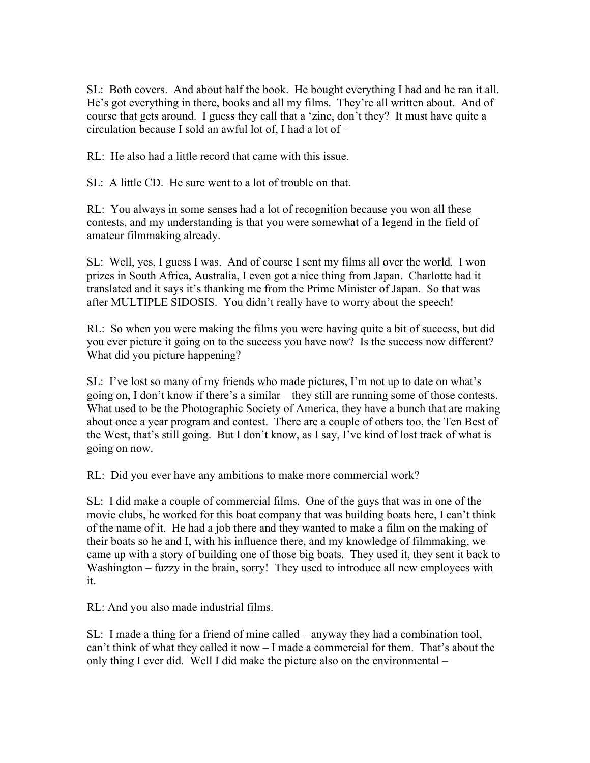SL: Both covers. And about half the book. He bought everything I had and he ran it all. He's got everything in there, books and all my films. They're all written about. And of course that gets around. I guess they call that a 'zine, don't they? It must have quite a circulation because I sold an awful lot of, I had a lot of –

RL: He also had a little record that came with this issue.

SL: A little CD. He sure went to a lot of trouble on that.

RL: You always in some senses had a lot of recognition because you won all these contests, and my understanding is that you were somewhat of a legend in the field of amateur filmmaking already.

SL: Well, yes, I guess I was. And of course I sent my films all over the world. I won prizes in South Africa, Australia, I even got a nice thing from Japan. Charlotte had it translated and it says it's thanking me from the Prime Minister of Japan. So that was after MULTIPLE SIDOSIS. You didn't really have to worry about the speech!

RL: So when you were making the films you were having quite a bit of success, but did you ever picture it going on to the success you have now? Is the success now different? What did you picture happening?

SL: I've lost so many of my friends who made pictures, I'm not up to date on what's going on, I don't know if there's a similar – they still are running some of those contests. What used to be the Photographic Society of America, they have a bunch that are making about once a year program and contest. There are a couple of others too, the Ten Best of the West, that's still going. But I don't know, as I say, I've kind of lost track of what is going on now.

RL: Did you ever have any ambitions to make more commercial work?

SL: I did make a couple of commercial films. One of the guys that was in one of the movie clubs, he worked for this boat company that was building boats here, I can't think of the name of it. He had a job there and they wanted to make a film on the making of their boats so he and I, with his influence there, and my knowledge of filmmaking, we came up with a story of building one of those big boats. They used it, they sent it back to Washington – fuzzy in the brain, sorry! They used to introduce all new employees with it.

RL: And you also made industrial films.

SL: I made a thing for a friend of mine called – anyway they had a combination tool, can't think of what they called it now – I made a commercial for them. That's about the only thing I ever did. Well I did make the picture also on the environmental –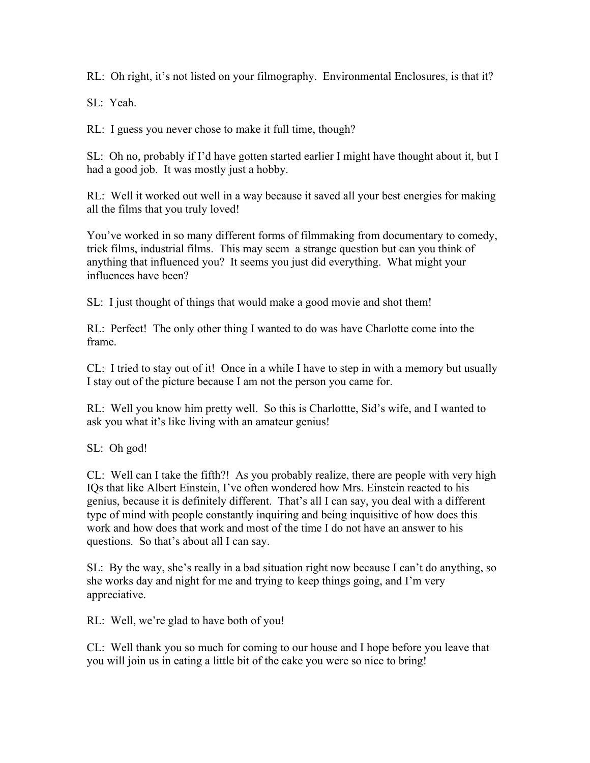RL: Oh right, it's not listed on your filmography. Environmental Enclosures, is that it?

SL: Yeah.

RL: I guess you never chose to make it full time, though?

SL: Oh no, probably if I'd have gotten started earlier I might have thought about it, but I had a good job. It was mostly just a hobby.

RL: Well it worked out well in a way because it saved all your best energies for making all the films that you truly loved!

You've worked in so many different forms of filmmaking from documentary to comedy, trick films, industrial films. This may seem a strange question but can you think of anything that influenced you? It seems you just did everything. What might your influences have been?

SL: I just thought of things that would make a good movie and shot them!

RL: Perfect! The only other thing I wanted to do was have Charlotte come into the frame.

CL: I tried to stay out of it! Once in a while I have to step in with a memory but usually I stay out of the picture because I am not the person you came for.

RL: Well you know him pretty well. So this is Charlottte, Sid's wife, and I wanted to ask you what it's like living with an amateur genius!

SL: Oh god!

CL: Well can I take the fifth?! As you probably realize, there are people with very high IQs that like Albert Einstein, I've often wondered how Mrs. Einstein reacted to his genius, because it is definitely different. That's all I can say, you deal with a different type of mind with people constantly inquiring and being inquisitive of how does this work and how does that work and most of the time I do not have an answer to his questions. So that's about all I can say.

SL: By the way, she's really in a bad situation right now because I can't do anything, so she works day and night for me and trying to keep things going, and I'm very appreciative.

RL: Well, we're glad to have both of you!

CL: Well thank you so much for coming to our house and I hope before you leave that you will join us in eating a little bit of the cake you were so nice to bring!